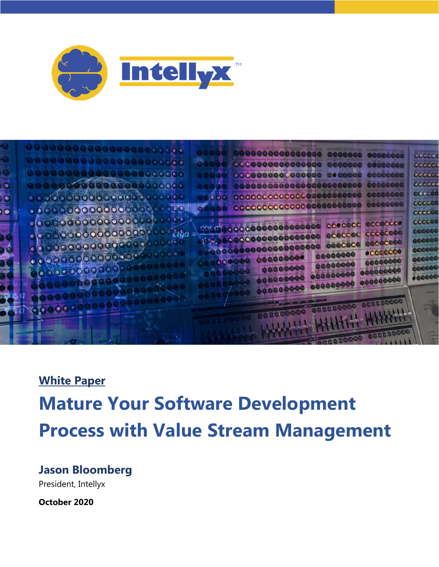



#### **White Paper**

# **Mature Your Software Development Process with Value Stream Management**

#### **Jason Bloomberg**

President, Intellyx

**October 2020**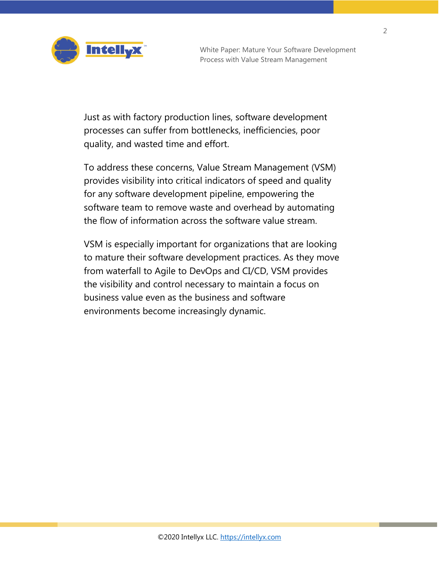

Just as with factory production lines, software development processes can suffer from bottlenecks, inefficiencies, poor quality, and wasted time and effort.

To address these concerns, Value Stream Management (VSM) provides visibility into critical indicators of speed and quality for any software development pipeline, empowering the software team to remove waste and overhead by automating the flow of information across the software value stream.

VSM is especially important for organizations that are looking to mature their software development practices. As they move from waterfall to Agile to DevOps and CI/CD, VSM provides the visibility and control necessary to maintain a focus on business value even as the business and software environments become increasingly dynamic.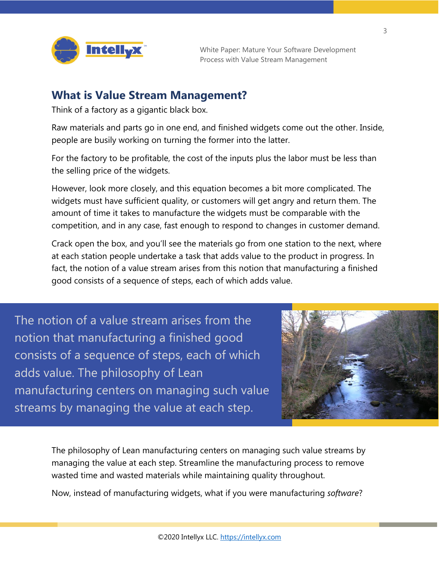

#### **What is Value Stream Management?**

Think of a factory as a gigantic black box.

Raw materials and parts go in one end, and finished widgets come out the other. Inside, people are busily working on turning the former into the latter.

For the factory to be profitable, the cost of the inputs plus the labor must be less than the selling price of the widgets.

However, look more closely, and this equation becomes a bit more complicated. The widgets must have sufficient quality, or customers will get angry and return them. The amount of time it takes to manufacture the widgets must be comparable with the competition, and in any case, fast enough to respond to changes in customer demand.

Crack open the box, and you'll see the materials go from one station to the next, where at each station people undertake a task that adds value to the product in progress. In fact, the notion of a value stream arises from this notion that manufacturing a finished good consists of a sequence of steps, each of which adds value.

The notion of a value stream arises from the notion that manufacturing a finished good consists of a sequence of steps, each of which adds value. The philosophy of Lean manufacturing centers on managing such value streams by managing the value at each step.



The philosophy of Lean manufacturing centers on managing such value streams by managing the value at each step. Streamline the manufacturing process to remove wasted time and wasted materials while maintaining quality throughout.

Now, instead of manufacturing widgets, what if you were manufacturing *software*?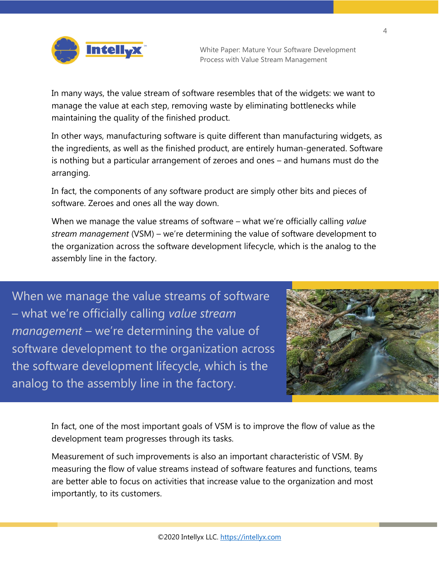

In many ways, the value stream of software resembles that of the widgets: we want to manage the value at each step, removing waste by eliminating bottlenecks while maintaining the quality of the finished product.

In other ways, manufacturing software is quite different than manufacturing widgets, as the ingredients, as well as the finished product, are entirely human-generated. Software is nothing but a particular arrangement of zeroes and ones – and humans must do the arranging.

In fact, the components of any software product are simply other bits and pieces of software. Zeroes and ones all the way down.

When we manage the value streams of software – what we're officially calling *value stream management* (VSM) – we're determining the value of software development to the organization across the software development lifecycle, which is the analog to the assembly line in the factory.

When we manage the value streams of software – what we're officially calling *value stream management* – we're determining the value of software development to the organization across the software development lifecycle, which is the analog to the assembly line in the factory.



In fact, one of the most important goals of VSM is to improve the flow of value as the development team progresses through its tasks.

Measurement of such improvements is also an important characteristic of VSM. By measuring the flow of value streams instead of software features and functions, teams are better able to focus on activities that increase value to the organization and most importantly, to its customers.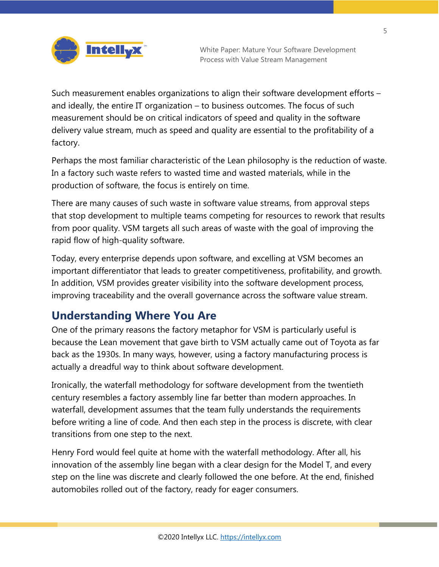

Such measurement enables organizations to align their software development efforts – and ideally, the entire IT organization – to business outcomes. The focus of such measurement should be on critical indicators of speed and quality in the software delivery value stream, much as speed and quality are essential to the profitability of a factory.

Perhaps the most familiar characteristic of the Lean philosophy is the reduction of waste. In a factory such waste refers to wasted time and wasted materials, while in the production of software, the focus is entirely on time.

There are many causes of such waste in software value streams, from approval steps that stop development to multiple teams competing for resources to rework that results from poor quality. VSM targets all such areas of waste with the goal of improving the rapid flow of high-quality software.

Today, every enterprise depends upon software, and excelling at VSM becomes an important differentiator that leads to greater competitiveness, profitability, and growth. In addition, VSM provides greater visibility into the software development process, improving traceability and the overall governance across the software value stream.

# **Understanding Where You Are**

One of the primary reasons the factory metaphor for VSM is particularly useful is because the Lean movement that gave birth to VSM actually came out of Toyota as far back as the 1930s. In many ways, however, using a factory manufacturing process is actually a dreadful way to think about software development.

Ironically, the waterfall methodology for software development from the twentieth century resembles a factory assembly line far better than modern approaches. In waterfall, development assumes that the team fully understands the requirements before writing a line of code. And then each step in the process is discrete, with clear transitions from one step to the next.

Henry Ford would feel quite at home with the waterfall methodology. After all, his innovation of the assembly line began with a clear design for the Model T, and every step on the line was discrete and clearly followed the one before. At the end, finished automobiles rolled out of the factory, ready for eager consumers.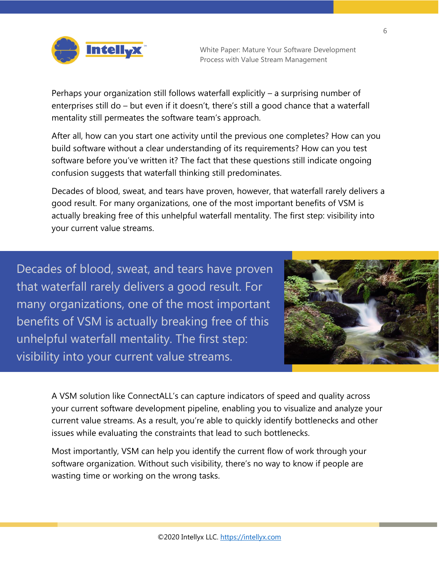Perhaps your organization still follows waterfall explicitly – a surprising number of enterprises still do – but even if it doesn't, there's still a good chance that a waterfall mentality still permeates the software team's approach.

After all, how can you start one activity until the previous one completes? How can you build software without a clear understanding of its requirements? How can you test software before you've written it? The fact that these questions still indicate ongoing confusion suggests that waterfall thinking still predominates.

Decades of blood, sweat, and tears have proven, however, that waterfall rarely delivers a good result. For many organizations, one of the most important benefits of VSM is actually breaking free of this unhelpful waterfall mentality. The first step: visibility into your current value streams.

Decades of blood, sweat, and tears have proven that waterfall rarely delivers a good result. For many organizations, one of the most important benefits of VSM is actually breaking free of this unhelpful waterfall mentality. The first step: visibility into your current value streams.



A VSM solution like ConnectALL's can capture indicators of speed and quality across your current software development pipeline, enabling you to visualize and analyze your current value streams. As a result, you're able to quickly identify bottlenecks and other issues while evaluating the constraints that lead to such bottlenecks.

Most importantly, VSM can help you identify the current flow of work through your software organization. Without such visibility, there's no way to know if people are wasting time or working on the wrong tasks.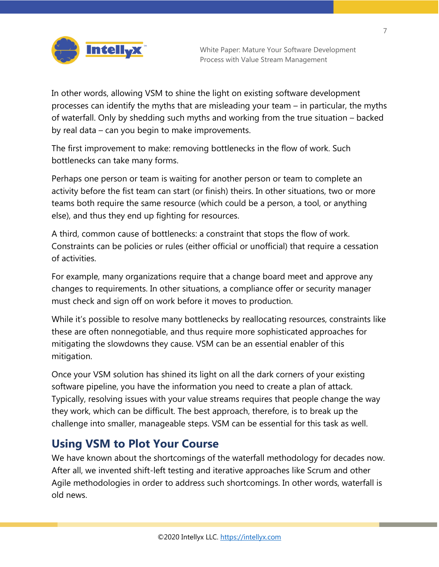

In other words, allowing VSM to shine the light on existing software development processes can identify the myths that are misleading your team – in particular, the myths of waterfall. Only by shedding such myths and working from the true situation – backed by real data – can you begin to make improvements.

The first improvement to make: removing bottlenecks in the flow of work. Such bottlenecks can take many forms.

Perhaps one person or team is waiting for another person or team to complete an activity before the fist team can start (or finish) theirs. In other situations, two or more teams both require the same resource (which could be a person, a tool, or anything else), and thus they end up fighting for resources.

A third, common cause of bottlenecks: a constraint that stops the flow of work. Constraints can be policies or rules (either official or unofficial) that require a cessation of activities.

For example, many organizations require that a change board meet and approve any changes to requirements. In other situations, a compliance offer or security manager must check and sign off on work before it moves to production.

While it's possible to resolve many bottlenecks by reallocating resources, constraints like these are often nonnegotiable, and thus require more sophisticated approaches for mitigating the slowdowns they cause. VSM can be an essential enabler of this mitigation.

Once your VSM solution has shined its light on all the dark corners of your existing software pipeline, you have the information you need to create a plan of attack. Typically, resolving issues with your value streams requires that people change the way they work, which can be difficult. The best approach, therefore, is to break up the challenge into smaller, manageable steps. VSM can be essential for this task as well.

# **Using VSM to Plot Your Course**

We have known about the shortcomings of the waterfall methodology for decades now. After all, we invented shift-left testing and iterative approaches like Scrum and other Agile methodologies in order to address such shortcomings. In other words, waterfall is old news.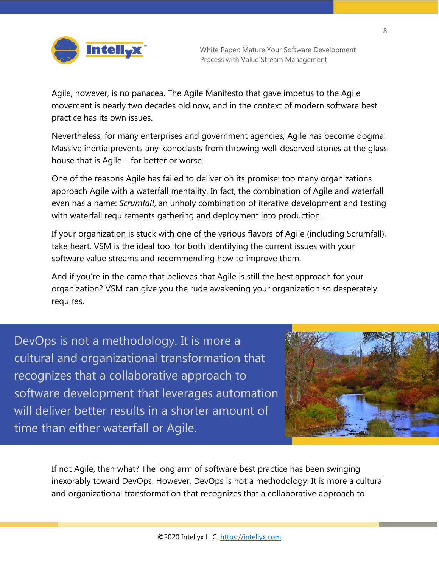

Agile, however, is no panacea. The Agile Manifesto that gave impetus to the Agile movement is nearly two decades old now, and in the context of modern software best practice has its own issues.

Nevertheless, for many enterprises and government agencies, Agile has become dogma. Massive inertia prevents any iconoclasts from throwing well-deserved stones at the glass house that is Agile – for better or worse.

One of the reasons Agile has failed to deliver on its promise: too many organizations approach Agile with a waterfall mentality. In fact, the combination of Agile and waterfall even has a name: *Scrumfall*, an unholy combination of iterative development and testing with waterfall requirements gathering and deployment into production.

If your organization is stuck with one of the various flavors of Agile (including Scrumfall), take heart. VSM is the ideal tool for both identifying the current issues with your software value streams and recommending how to improve them.

And if you're in the camp that believes that Agile is still the best approach for your organization? VSM can give you the rude awakening your organization so desperately requires.

DevOps is not a methodology. It is more a cultural and organizational transformation that recognizes that a collaborative approach to software development that leverages automation will deliver better results in a shorter amount of time than either waterfall or Agile.



If not Agile, then what? The long arm of software best practice has been swinging inexorably toward DevOps. However, DevOps is not a methodology. It is more a cultural and organizational transformation that recognizes that a collaborative approach to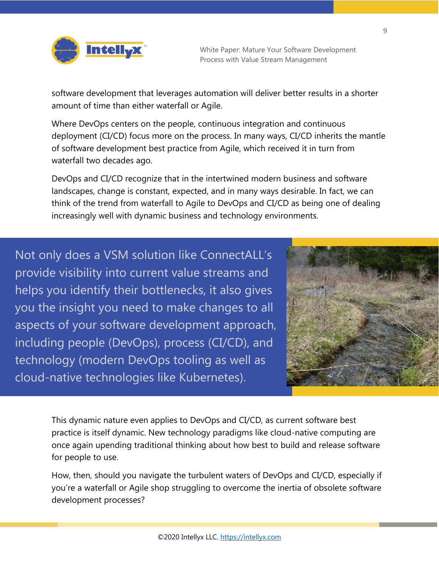

software development that leverages automation will deliver better results in a shorter amount of time than either waterfall or Agile.

Where DevOps centers on the people, continuous integration and continuous deployment (CI/CD) focus more on the process. In many ways, CI/CD inherits the mantle of software development best practice from Agile, which received it in turn from waterfall two decades ago.

DevOps and CI/CD recognize that in the intertwined modern business and software landscapes, change is constant, expected, and in many ways desirable. In fact, we can think of the trend from waterfall to Agile to DevOps and CI/CD as being one of dealing increasingly well with dynamic business and technology environments.

Not only does a VSM solution like ConnectALL's provide visibility into current value streams and helps you identify their bottlenecks, it also gives you the insight you need to make changes to all aspects of your software development approach, including people (DevOps), process (CI/CD), and technology (modern DevOps tooling as well as cloud-native technologies like Kubernetes).



This dynamic nature even applies to DevOps and CI/CD, as current software best practice is itself dynamic. New technology paradigms like cloud-native computing are once again upending traditional thinking about how best to build and release software for people to use.

How, then, should you navigate the turbulent waters of DevOps and CI/CD, especially if you're a waterfall or Agile shop struggling to overcome the inertia of obsolete software development processes?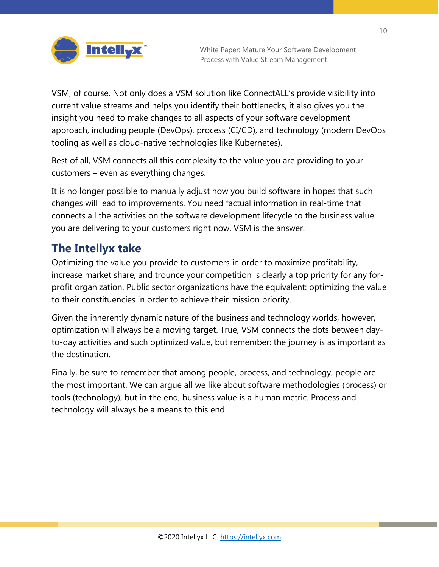

VSM, of course. Not only does a VSM solution like ConnectALL's provide visibility into current value streams and helps you identify their bottlenecks, it also gives you the insight you need to make changes to all aspects of your software development approach, including people (DevOps), process (CI/CD), and technology (modern DevOps tooling as well as cloud-native technologies like Kubernetes).

Best of all, VSM connects all this complexity to the value you are providing to your customers – even as everything changes.

It is no longer possible to manually adjust how you build software in hopes that such changes will lead to improvements. You need factual information in real-time that connects all the activities on the software development lifecycle to the business value you are delivering to your customers right now. VSM is the answer.

# **The Intellyx take**

Optimizing the value you provide to customers in order to maximize profitability, increase market share, and trounce your competition is clearly a top priority for any forprofit organization. Public sector organizations have the equivalent: optimizing the value to their constituencies in order to achieve their mission priority.

Given the inherently dynamic nature of the business and technology worlds, however, optimization will always be a moving target. True, VSM connects the dots between dayto-day activities and such optimized value, but remember: the journey is as important as the destination.

Finally, be sure to remember that among people, process, and technology, people are the most important. We can argue all we like about software methodologies (process) or tools (technology), but in the end, business value is a human metric. Process and technology will always be a means to this end.